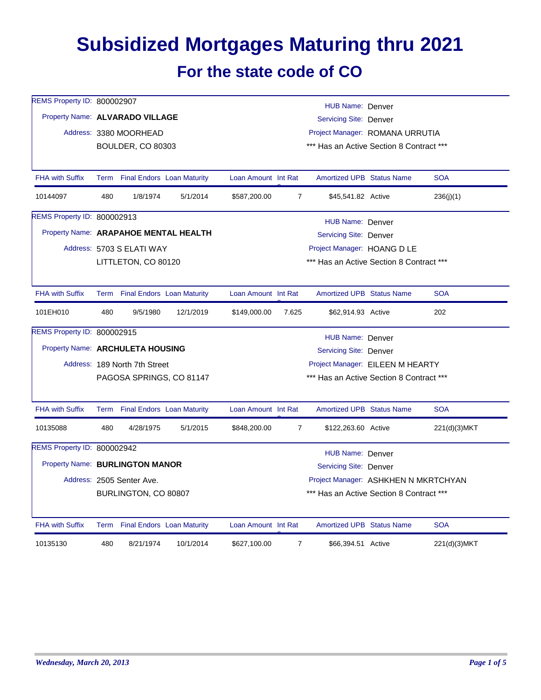## **Subsidized Mortgages Maturing thru 2021 For the state code of CO**

| REMS Property ID: 800002907           |                                                     |                                 |           |                                                                             |                                                                                  |                                          |  |              |  |  |  |
|---------------------------------------|-----------------------------------------------------|---------------------------------|-----------|-----------------------------------------------------------------------------|----------------------------------------------------------------------------------|------------------------------------------|--|--------------|--|--|--|
|                                       | HUB Name: Denver<br>Property Name: ALVARADO VILLAGE |                                 |           |                                                                             |                                                                                  |                                          |  |              |  |  |  |
|                                       |                                                     |                                 |           | <b>Servicing Site: Denver</b>                                               |                                                                                  |                                          |  |              |  |  |  |
|                                       |                                                     | Address: 3380 MOORHEAD          |           | Project Manager: ROMANA URRUTIA<br>*** Has an Active Section 8 Contract *** |                                                                                  |                                          |  |              |  |  |  |
|                                       |                                                     | <b>BOULDER, CO 80303</b>        |           |                                                                             |                                                                                  |                                          |  |              |  |  |  |
| <b>FHA with Suffix</b>                |                                                     | Term Final Endors Loan Maturity |           | Loan Amount Int Rat                                                         |                                                                                  | <b>Amortized UPB Status Name</b>         |  | <b>SOA</b>   |  |  |  |
| 10144097                              | 480                                                 | 1/8/1974                        | 5/1/2014  | \$587,200.00                                                                | $\overline{7}$                                                                   | \$45,541.82 Active                       |  | 236(j)(1)    |  |  |  |
| REMS Property ID: 800002913           |                                                     |                                 |           |                                                                             |                                                                                  | HUB Name: Denver                         |  |              |  |  |  |
| Property Name: ARAPAHOE MENTAL HEALTH |                                                     |                                 |           |                                                                             |                                                                                  | Servicing Site: Denver                   |  |              |  |  |  |
|                                       |                                                     | Address: 5703 S ELATI WAY       |           |                                                                             |                                                                                  | Project Manager: HOANG D LE              |  |              |  |  |  |
|                                       |                                                     | LITTLETON, CO 80120             |           |                                                                             |                                                                                  | *** Has an Active Section 8 Contract *** |  |              |  |  |  |
|                                       |                                                     |                                 |           |                                                                             |                                                                                  |                                          |  |              |  |  |  |
| <b>FHA with Suffix</b>                |                                                     | Term Final Endors Loan Maturity |           | Loan Amount Int Rat                                                         |                                                                                  | <b>Amortized UPB Status Name</b>         |  | <b>SOA</b>   |  |  |  |
| 101EH010                              | 480                                                 | 9/5/1980                        | 12/1/2019 | \$149,000.00                                                                | 7.625                                                                            | \$62,914.93 Active                       |  | 202          |  |  |  |
| REMS Property ID: 800002915           |                                                     |                                 |           |                                                                             |                                                                                  | HUB Name: Denver                         |  |              |  |  |  |
| Property Name: ARCHULETA HOUSING      |                                                     |                                 |           | Servicing Site: Denver                                                      |                                                                                  |                                          |  |              |  |  |  |
|                                       |                                                     | Address: 189 North 7th Street   |           |                                                                             |                                                                                  | Project Manager: EILEEN M HEARTY         |  |              |  |  |  |
|                                       |                                                     | PAGOSA SPRINGS, CO 81147        |           | *** Has an Active Section 8 Contract ***                                    |                                                                                  |                                          |  |              |  |  |  |
|                                       |                                                     |                                 |           |                                                                             |                                                                                  |                                          |  |              |  |  |  |
| <b>FHA with Suffix</b>                |                                                     | Term Final Endors Loan Maturity |           | Loan Amount Int Rat                                                         |                                                                                  | <b>Amortized UPB Status Name</b>         |  | <b>SOA</b>   |  |  |  |
| 10135088                              | 480                                                 | 4/28/1975                       | 5/1/2015  | \$848,200.00                                                                | $\overline{7}$                                                                   | \$122,263.60 Active                      |  | 221(d)(3)MKT |  |  |  |
| REMS Property ID: 800002942           |                                                     |                                 |           |                                                                             |                                                                                  | HUB Name: Denver                         |  |              |  |  |  |
| Property Name: BURLINGTON MANOR       |                                                     |                                 |           |                                                                             |                                                                                  | Servicing Site: Denver                   |  |              |  |  |  |
|                                       |                                                     | Address: 2505 Senter Ave.       |           |                                                                             |                                                                                  |                                          |  |              |  |  |  |
|                                       |                                                     | BURLINGTON, CO 80807            |           |                                                                             | Project Manager: ASHKHEN N MKRTCHYAN<br>*** Has an Active Section 8 Contract *** |                                          |  |              |  |  |  |
|                                       |                                                     |                                 |           |                                                                             |                                                                                  |                                          |  |              |  |  |  |
| <b>FHA with Suffix</b>                |                                                     | Term Final Endors Loan Maturity |           | Loan Amount Int Rat                                                         |                                                                                  | <b>Amortized UPB Status Name</b>         |  | <b>SOA</b>   |  |  |  |
| 10135130                              | 480                                                 | 8/21/1974                       | 10/1/2014 | \$627,100.00                                                                | $\overline{7}$                                                                   | \$66,394.51 Active                       |  | 221(d)(3)MKT |  |  |  |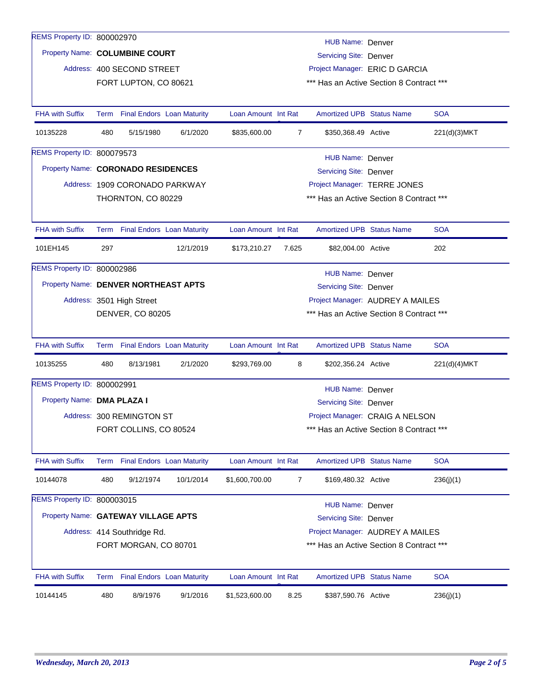| REMS Property ID: 800002970          |                                                                                  |                                 |           |                                  |                                          | HUB Name: Denver                         |  |              |  |  |
|--------------------------------------|----------------------------------------------------------------------------------|---------------------------------|-----------|----------------------------------|------------------------------------------|------------------------------------------|--|--------------|--|--|
|                                      | Property Name: COLUMBINE COURT<br>Servicing Site: Denver                         |                                 |           |                                  |                                          |                                          |  |              |  |  |
|                                      | Project Manager: ERIC D GARCIA<br>Address: 400 SECOND STREET                     |                                 |           |                                  |                                          |                                          |  |              |  |  |
|                                      |                                                                                  | FORT LUPTON, CO 80621           |           |                                  |                                          | *** Has an Active Section 8 Contract *** |  |              |  |  |
|                                      |                                                                                  |                                 |           |                                  |                                          |                                          |  |              |  |  |
| <b>FHA with Suffix</b>               |                                                                                  | Term Final Endors Loan Maturity |           | Loan Amount Int Rat              |                                          | <b>Amortized UPB Status Name</b>         |  | <b>SOA</b>   |  |  |
| 10135228                             | 480                                                                              | 5/15/1980                       | 6/1/2020  | \$835,600.00                     | $\overline{7}$                           | \$350,368.49 Active                      |  | 221(d)(3)MKT |  |  |
| REMS Property ID: 800079573          |                                                                                  |                                 |           |                                  |                                          |                                          |  |              |  |  |
|                                      | HUB Name: Denver<br>Property Name: CORONADO RESIDENCES<br>Servicing Site: Denver |                                 |           |                                  |                                          |                                          |  |              |  |  |
|                                      |                                                                                  | Address: 1909 CORONADO PARKWAY  |           |                                  |                                          | Project Manager: TERRE JONES             |  |              |  |  |
|                                      |                                                                                  | THORNTON, CO 80229              |           |                                  |                                          | *** Has an Active Section 8 Contract *** |  |              |  |  |
|                                      |                                                                                  |                                 |           |                                  |                                          |                                          |  |              |  |  |
| <b>FHA with Suffix</b>               |                                                                                  | Term Final Endors Loan Maturity |           | Loan Amount Int Rat              |                                          | <b>Amortized UPB Status Name</b>         |  | <b>SOA</b>   |  |  |
| 101EH145                             | 297                                                                              |                                 | 12/1/2019 | \$173,210.27                     | 7.625                                    | \$82,004.00 Active                       |  | 202          |  |  |
| REMS Property ID: 800002986          |                                                                                  |                                 |           |                                  |                                          | HUB Name: Denver                         |  |              |  |  |
| Property Name: DENVER NORTHEAST APTS |                                                                                  |                                 |           |                                  |                                          | Servicing Site: Denver                   |  |              |  |  |
|                                      |                                                                                  | Address: 3501 High Street       |           | Project Manager: AUDREY A MAILES |                                          |                                          |  |              |  |  |
|                                      |                                                                                  | <b>DENVER, CO 80205</b>         |           |                                  | *** Has an Active Section 8 Contract *** |                                          |  |              |  |  |
|                                      |                                                                                  |                                 |           |                                  |                                          |                                          |  |              |  |  |
| <b>FHA with Suffix</b>               |                                                                                  | Term Final Endors Loan Maturity |           | Loan Amount Int Rat              |                                          | <b>Amortized UPB Status Name</b>         |  | <b>SOA</b>   |  |  |
| 10135255                             | 480                                                                              | 8/13/1981                       | 2/1/2020  | \$293,769.00                     | 8                                        | \$202,356.24 Active                      |  | 221(d)(4)MKT |  |  |
| REMS Property ID: 800002991          |                                                                                  |                                 |           |                                  |                                          | HUB Name: Denver                         |  |              |  |  |
| Property Name: DMA PLAZA I           |                                                                                  |                                 |           |                                  |                                          | Servicing Site: Denver                   |  |              |  |  |
|                                      |                                                                                  | Address: 300 REMINGTON ST       |           |                                  |                                          | Project Manager: CRAIG A NELSON          |  |              |  |  |
|                                      |                                                                                  | FORT COLLINS, CO 80524          |           |                                  |                                          | *** Has an Active Section 8 Contract *** |  |              |  |  |
|                                      |                                                                                  |                                 |           |                                  |                                          |                                          |  |              |  |  |
| <b>FHA with Suffix</b>               |                                                                                  | Term Final Endors Loan Maturity |           | Loan Amount Int Rat              |                                          | Amortized UPB Status Name                |  | <b>SOA</b>   |  |  |
| 10144078                             | 480                                                                              | 9/12/1974                       | 10/1/2014 | \$1,600,700.00                   | 7                                        | \$169,480.32 Active                      |  | 236(j)(1)    |  |  |
| REMS Property ID: 800003015          |                                                                                  |                                 |           |                                  |                                          | <b>HUB Name: Denver</b>                  |  |              |  |  |
| Property Name: GATEWAY VILLAGE APTS  |                                                                                  |                                 |           |                                  |                                          | <b>Servicing Site: Denver</b>            |  |              |  |  |
|                                      |                                                                                  | Address: 414 Southridge Rd.     |           |                                  |                                          | Project Manager: AUDREY A MAILES         |  |              |  |  |
|                                      |                                                                                  | FORT MORGAN, CO 80701           |           |                                  |                                          | *** Has an Active Section 8 Contract *** |  |              |  |  |
|                                      |                                                                                  |                                 |           |                                  |                                          |                                          |  |              |  |  |
| <b>FHA with Suffix</b>               |                                                                                  | Term Final Endors Loan Maturity |           | Loan Amount Int Rat              |                                          | Amortized UPB Status Name                |  | <b>SOA</b>   |  |  |
| 10144145                             | 480                                                                              | 8/9/1976                        | 9/1/2016  | \$1,523,600.00                   | 8.25                                     | \$387,590.76 Active                      |  | 236(j)(1)    |  |  |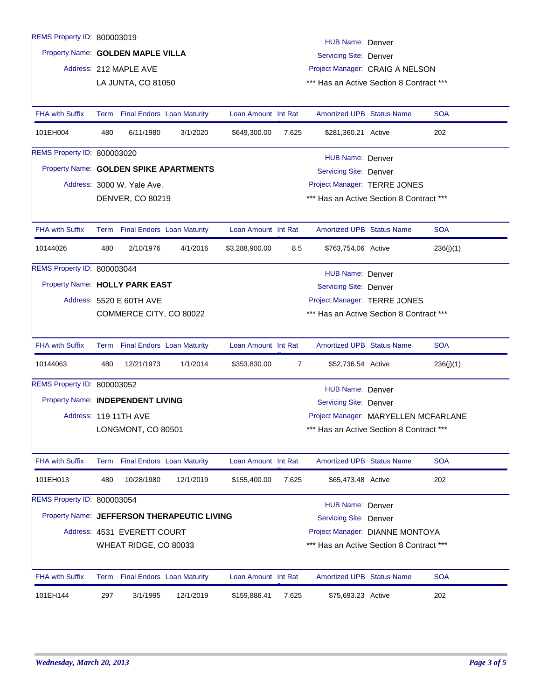| REMS Property ID: 800003019       |                                                                                             |                                   |                                             |                     |                                 | HUB Name: Denver                                                                 |  |            |  |  |
|-----------------------------------|---------------------------------------------------------------------------------------------|-----------------------------------|---------------------------------------------|---------------------|---------------------------------|----------------------------------------------------------------------------------|--|------------|--|--|
|                                   | Property Name: GOLDEN MAPLE VILLA<br><b>Servicing Site: Denver</b>                          |                                   |                                             |                     |                                 |                                                                                  |  |            |  |  |
|                                   |                                                                                             | Address: 212 MAPLE AVE            |                                             |                     | Project Manager: CRAIG A NELSON |                                                                                  |  |            |  |  |
|                                   |                                                                                             | LA JUNTA, CO 81050                |                                             |                     |                                 | *** Has an Active Section 8 Contract ***                                         |  |            |  |  |
|                                   |                                                                                             |                                   |                                             |                     |                                 |                                                                                  |  |            |  |  |
| <b>FHA with Suffix</b>            |                                                                                             | Term Final Endors Loan Maturity   |                                             | Loan Amount Int Rat |                                 | <b>Amortized UPB Status Name</b>                                                 |  | <b>SOA</b> |  |  |
| 101EH004                          | 480                                                                                         | 6/11/1980                         | 3/1/2020                                    | \$649,300.00        | 7.625                           | \$281,360.21 Active                                                              |  | 202        |  |  |
| REMS Property ID: 800003020       |                                                                                             |                                   |                                             |                     |                                 |                                                                                  |  |            |  |  |
|                                   | <b>HUB Name: Denver</b><br>Property Name: GOLDEN SPIKE APARTMENTS<br>Servicing Site: Denver |                                   |                                             |                     |                                 |                                                                                  |  |            |  |  |
|                                   |                                                                                             | Address: 3000 W. Yale Ave.        |                                             |                     |                                 | Project Manager: TERRE JONES                                                     |  |            |  |  |
|                                   |                                                                                             | DENVER, CO 80219                  |                                             |                     |                                 | *** Has an Active Section 8 Contract ***                                         |  |            |  |  |
|                                   |                                                                                             |                                   |                                             |                     |                                 |                                                                                  |  |            |  |  |
| <b>FHA with Suffix</b>            |                                                                                             | Term Final Endors Loan Maturity   |                                             | Loan Amount Int Rat |                                 | <b>Amortized UPB Status Name</b>                                                 |  | <b>SOA</b> |  |  |
| 10144026                          | 480                                                                                         | 2/10/1976                         | 4/1/2016                                    | \$3,288,900.00      | 8.5                             | \$763,754.06 Active                                                              |  | 236(j)(1)  |  |  |
| REMS Property ID: 800003044       |                                                                                             |                                   |                                             |                     |                                 |                                                                                  |  |            |  |  |
| Property Name: HOLLY PARK EAST    |                                                                                             |                                   | HUB Name: Denver                            |                     |                                 |                                                                                  |  |            |  |  |
|                                   |                                                                                             |                                   |                                             |                     |                                 | <b>Servicing Site: Denver</b>                                                    |  |            |  |  |
|                                   |                                                                                             | Address: 5520 E 60TH AVE          |                                             |                     |                                 | Project Manager: TERRE JONES                                                     |  |            |  |  |
|                                   |                                                                                             | COMMERCE CITY, CO 80022           |                                             |                     |                                 | *** Has an Active Section 8 Contract ***                                         |  |            |  |  |
| <b>FHA with Suffix</b>            | Term                                                                                        | <b>Final Endors Loan Maturity</b> |                                             | Loan Amount Int Rat |                                 | <b>Amortized UPB Status Name</b>                                                 |  | <b>SOA</b> |  |  |
| 10144063                          | 480                                                                                         | 12/21/1973                        | 1/1/2014                                    | \$353,830.00        | $\overline{7}$                  | \$52,736.54 Active                                                               |  | 236(j)(1)  |  |  |
| REMS Property ID: 800003052       |                                                                                             |                                   |                                             |                     |                                 | HUB Name: Denver                                                                 |  |            |  |  |
| Property Name: INDEPENDENT LIVING |                                                                                             |                                   |                                             |                     |                                 | Servicing Site: Denver                                                           |  |            |  |  |
|                                   |                                                                                             | Address: 119 11TH AVE             |                                             |                     |                                 |                                                                                  |  |            |  |  |
|                                   |                                                                                             | LONGMONT, CO 80501                |                                             |                     |                                 | Project Manager: MARYELLEN MCFARLANE<br>*** Has an Active Section 8 Contract *** |  |            |  |  |
|                                   |                                                                                             |                                   |                                             |                     |                                 |                                                                                  |  |            |  |  |
| FHA with Suffix                   |                                                                                             | Term Final Endors Loan Maturity   |                                             | Loan Amount Int Rat |                                 | <b>Amortized UPB Status Name</b>                                                 |  | <b>SOA</b> |  |  |
| 101EH013                          | 480                                                                                         | 10/28/1980                        | 12/1/2019                                   | \$155,400.00        | 7.625                           | \$65,473.48 Active                                                               |  | 202        |  |  |
| REMS Property ID: 800003054       |                                                                                             |                                   |                                             |                     |                                 |                                                                                  |  |            |  |  |
|                                   |                                                                                             |                                   | Property Name: JEFFERSON THERAPEUTIC LIVING |                     |                                 | <b>HUB Name: Denver</b>                                                          |  |            |  |  |
|                                   |                                                                                             | Address: 4531 EVERETT COURT       |                                             |                     |                                 | Servicing Site: Denver<br>Project Manager: DIANNE MONTOYA                        |  |            |  |  |
|                                   |                                                                                             |                                   |                                             |                     |                                 |                                                                                  |  |            |  |  |
|                                   |                                                                                             | WHEAT RIDGE, CO 80033             |                                             |                     |                                 | *** Has an Active Section 8 Contract ***                                         |  |            |  |  |
| <b>FHA with Suffix</b>            |                                                                                             | Term Final Endors Loan Maturity   |                                             | Loan Amount Int Rat |                                 | <b>Amortized UPB Status Name</b>                                                 |  | <b>SOA</b> |  |  |
| 101EH144                          | 297                                                                                         | 3/1/1995                          | 12/1/2019                                   | \$159,886.41        | 7.625                           | \$75,693.23 Active                                                               |  | 202        |  |  |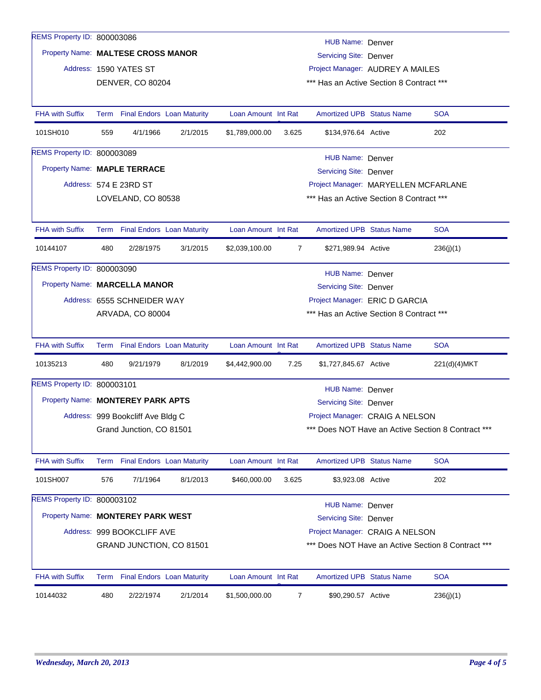| REMS Property ID: 800003086       |                                                                                             |                                   |          |                     |                                | HUB Name: Denver                                                                      |  |                                                    |  |  |
|-----------------------------------|---------------------------------------------------------------------------------------------|-----------------------------------|----------|---------------------|--------------------------------|---------------------------------------------------------------------------------------|--|----------------------------------------------------|--|--|
|                                   | Property Name: MALTESE CROSS MANOR<br>Servicing Site: Denver                                |                                   |          |                     |                                |                                                                                       |  |                                                    |  |  |
|                                   |                                                                                             | Address: 1590 YATES ST            |          |                     |                                | Project Manager: AUDREY A MAILES                                                      |  |                                                    |  |  |
|                                   | DENVER, CO 80204<br>*** Has an Active Section 8 Contract ***                                |                                   |          |                     |                                |                                                                                       |  |                                                    |  |  |
|                                   |                                                                                             |                                   |          |                     |                                |                                                                                       |  |                                                    |  |  |
| <b>FHA with Suffix</b>            |                                                                                             | Term Final Endors Loan Maturity   |          | Loan Amount Int Rat |                                | <b>Amortized UPB Status Name</b>                                                      |  | <b>SOA</b>                                         |  |  |
| 101SH010                          | 559                                                                                         | 4/1/1966                          | 2/1/2015 | \$1,789,000.00      | 3.625                          | \$134,976.64 Active                                                                   |  | 202                                                |  |  |
| REMS Property ID: 800003089       |                                                                                             |                                   |          |                     |                                | HUB Name: Denver                                                                      |  |                                                    |  |  |
| Property Name: MAPLE TERRACE      |                                                                                             |                                   |          |                     |                                | <b>Servicing Site: Denver</b>                                                         |  |                                                    |  |  |
|                                   |                                                                                             | Address: 574 E 23RD ST            |          |                     |                                | Project Manager: MARYELLEN MCFARLANE                                                  |  |                                                    |  |  |
|                                   |                                                                                             | LOVELAND, CO 80538                |          |                     |                                | *** Has an Active Section 8 Contract ***                                              |  |                                                    |  |  |
|                                   |                                                                                             |                                   |          |                     |                                |                                                                                       |  |                                                    |  |  |
| <b>FHA with Suffix</b>            |                                                                                             | Term Final Endors Loan Maturity   |          | Loan Amount Int Rat |                                | <b>Amortized UPB Status Name</b>                                                      |  | <b>SOA</b>                                         |  |  |
| 10144107                          | 480                                                                                         | 2/28/1975                         | 3/1/2015 | \$2,039,100.00      | $\overline{7}$                 | \$271,989.94 Active                                                                   |  | 236(j)(1)                                          |  |  |
| REMS Property ID: 800003090       |                                                                                             |                                   |          |                     |                                | HUB Name: Denver                                                                      |  |                                                    |  |  |
| Property Name: MARCELLA MANOR     |                                                                                             |                                   |          |                     |                                | Servicing Site: Denver                                                                |  |                                                    |  |  |
|                                   |                                                                                             |                                   |          |                     | Project Manager: ERIC D GARCIA |                                                                                       |  |                                                    |  |  |
|                                   | Address: 6555 SCHNEIDER WAY<br>*** Has an Active Section 8 Contract ***<br>ARVADA, CO 80004 |                                   |          |                     |                                |                                                                                       |  |                                                    |  |  |
|                                   |                                                                                             |                                   |          |                     |                                |                                                                                       |  |                                                    |  |  |
| <b>FHA with Suffix</b>            |                                                                                             | Term Final Endors Loan Maturity   |          | Loan Amount Int Rat |                                | <b>Amortized UPB Status Name</b>                                                      |  | <b>SOA</b>                                         |  |  |
| 10135213                          | 480                                                                                         | 9/21/1979                         | 8/1/2019 | \$4,442,900.00      | 7.25                           | \$1,727,845.67 Active                                                                 |  | 221(d)(4)MKT                                       |  |  |
| REMS Property ID: 800003101       |                                                                                             |                                   |          |                     |                                | <b>HUB Name: Denver</b>                                                               |  |                                                    |  |  |
| Property Name: MONTEREY PARK APTS |                                                                                             |                                   |          |                     |                                | Servicing Site: Denver                                                                |  |                                                    |  |  |
|                                   |                                                                                             | Address: 999 Bookcliff Ave Bldg C |          |                     |                                |                                                                                       |  |                                                    |  |  |
|                                   |                                                                                             | Grand Junction, CO 81501          |          |                     |                                | Project Manager: CRAIG A NELSON<br>*** Does NOT Have an Active Section 8 Contract *** |  |                                                    |  |  |
|                                   |                                                                                             |                                   |          |                     |                                |                                                                                       |  |                                                    |  |  |
| <b>FHA with Suffix</b>            |                                                                                             | Term Final Endors Loan Maturity   |          | Loan Amount Int Rat |                                | <b>Amortized UPB Status Name</b>                                                      |  | <b>SOA</b>                                         |  |  |
| 101SH007                          | 576                                                                                         | 7/1/1964                          | 8/1/2013 | \$460,000.00        | 3.625                          | \$3,923.08 Active                                                                     |  | 202                                                |  |  |
| REMS Property ID: 800003102       |                                                                                             |                                   |          |                     |                                |                                                                                       |  |                                                    |  |  |
|                                   | <b>HUB Name: Denver</b><br>Property Name: MONTEREY PARK WEST                                |                                   |          |                     |                                |                                                                                       |  |                                                    |  |  |
|                                   |                                                                                             |                                   |          |                     |                                | <b>Servicing Site: Denver</b><br>Project Manager: CRAIG A NELSON                      |  |                                                    |  |  |
|                                   |                                                                                             | Address: 999 BOOKCLIFF AVE        |          |                     |                                |                                                                                       |  |                                                    |  |  |
|                                   |                                                                                             | GRAND JUNCTION, CO 81501          |          |                     |                                |                                                                                       |  | *** Does NOT Have an Active Section 8 Contract *** |  |  |
| <b>FHA with Suffix</b>            | Term                                                                                        | <b>Final Endors</b> Loan Maturity |          | Loan Amount Int Rat |                                | <b>Amortized UPB Status Name</b>                                                      |  | <b>SOA</b>                                         |  |  |
| 10144032                          | 480                                                                                         | 2/22/1974                         | 2/1/2014 | \$1,500,000.00      | 7                              | \$90,290.57 Active                                                                    |  | 236(j)(1)                                          |  |  |